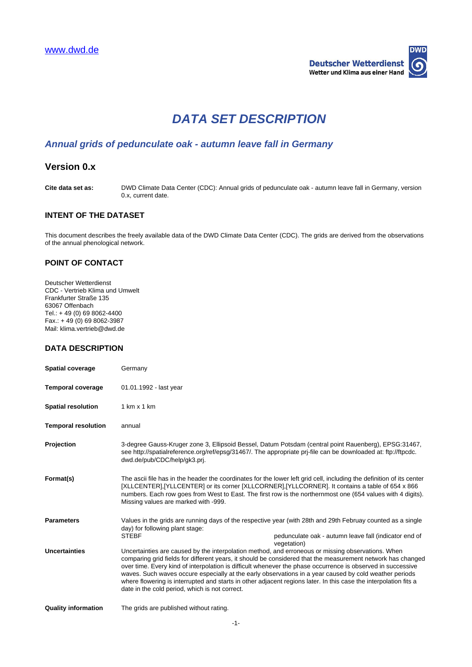

# **DATA SET DESCRIPTION**

## **Annual grids of pedunculate oak - autumn leave fall in Germany**

## **Version 0.x**

**Cite data set as:** DWD Climate Data Center (CDC): Annual grids of pedunculate oak - autumn leave fall in Germany, version 0.x, current date.

## **INTENT OF THE DATASET**

This document describes the freely available data of the DWD Climate Data Center (CDC). The grids are derived from the observations of the annual phenological network.

#### **POINT OF CONTACT**

Deutscher Wetterdienst CDC - Vertrieb Klima und Umwelt Frankfurter Straße 135 63067 Offenbach Tel.: + 49 (0) 69 8062-4400  $Fax.: + 49(0)698062-3987$ Mail: klima.vertrieb@dwd.de

### **DATA DESCRIPTION**

| <b>Spatial coverage</b>    | Germany                                                                                                                                                                                                                                                                                                                                                                                                                                                                                                                                                                                                                        |
|----------------------------|--------------------------------------------------------------------------------------------------------------------------------------------------------------------------------------------------------------------------------------------------------------------------------------------------------------------------------------------------------------------------------------------------------------------------------------------------------------------------------------------------------------------------------------------------------------------------------------------------------------------------------|
| <b>Temporal coverage</b>   | 01.01.1992 - last year                                                                                                                                                                                                                                                                                                                                                                                                                                                                                                                                                                                                         |
| <b>Spatial resolution</b>  | 1 km x 1 km                                                                                                                                                                                                                                                                                                                                                                                                                                                                                                                                                                                                                    |
| <b>Temporal resolution</b> | annual                                                                                                                                                                                                                                                                                                                                                                                                                                                                                                                                                                                                                         |
| Projection                 | 3-degree Gauss-Kruger zone 3, Ellipsoid Bessel, Datum Potsdam (central point Rauenberg), EPSG:31467,<br>see http://spatialreference.org/ref/epsg/31467/. The appropriate prj-file can be downloaded at: ftp://ftpcdc.<br>dwd.de/pub/CDC/help/qk3.prj.                                                                                                                                                                                                                                                                                                                                                                          |
| Format(s)                  | The ascii file has in the header the coordinates for the lower left grid cell, including the definition of its center<br>[XLLCENTER], [YLLCENTER] or its corner [XLLCORNER], [YLLCORNER]. It contains a table of 654 x 866<br>numbers. Each row goes from West to East. The first row is the northernmost one (654 values with 4 digits).<br>Missing values are marked with -999.                                                                                                                                                                                                                                              |
| <b>Parameters</b>          | Values in the grids are running days of the respective year (with 28th and 29th Februay counted as a single<br>day) for following plant stage:<br><b>STEBF</b><br>pedunculate oak - autumn leave fall (indicator end of                                                                                                                                                                                                                                                                                                                                                                                                        |
| <b>Uncertainties</b>       | vegetation)<br>Uncertainties are caused by the interpolation method, and erroneous or missing observations. When<br>comparing grid fields for different years, it should be considered that the measurement network has changed<br>over time. Every kind of interpolation is difficult whenever the phase occurrence is observed in successive<br>waves. Such waves occure especially at the early observations in a year caused by cold weather periods<br>where flowering is interrupted and starts in other adjacent regions later. In this case the interpolation fits a<br>date in the cold period, which is not correct. |
| Ouglity information        | The aride are published without rating                                                                                                                                                                                                                                                                                                                                                                                                                                                                                                                                                                                         |